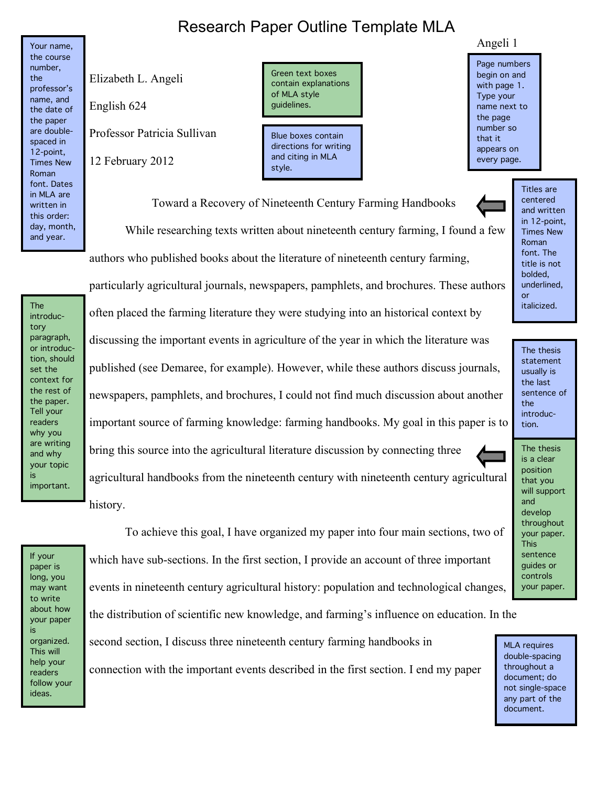## Research Paper Outline Template MLA

Your name, the course number, the professor's name, and the date of the paper are doublespaced in 12-point, Times New Roman font. Dates in MLA are written in this order: day, month, and year.

Elizabeth L. Angeli

English 624

Professor Patricia Sullivan

12 February 2012

Green text boxes contain explanations of MLA style guidelines.

Blue boxes contain directions for writing and citing in MLA style.

## Angeli 1

Page numbers begin on and with page 1. Type your name next to the page number so that it appears on every page.

Toward a Recovery of Nineteenth Century Farming Handbooks While researching texts written about nineteenth century farming, I found a few authors who published books about the literature of nineteenth century farming,

The introductory paragraph, or introduction, should set the context for the rest of the paper. Tell your readers why you are writing and why your topic is important.

particularly agricultural journals, newspapers, pamphlets, and brochures. These authors often placed the farming literature they were studying into an historical context by discussing the important events in agriculture of the year in which the literature was published (see Demaree, for example). However, while these authors discuss journals, newspapers, pamphlets, and brochures, I could not find much discussion about another important source of farming knowledge: farming handbooks. My goal in this paper is to bring this source into the agricultural literature discussion by connecting three agricultural handbooks from the nineteenth century with nineteenth century agricultural

history.

If your paper is long, you may want to write about how your paper is organized. This will help your readers follow your ideas.

 To achieve this goal, I have organized my paper into four main sections, two of which have sub-sections. In the first section, I provide an account of three important events in nineteenth century agricultural history: population and technological changes,

the distribution of scientific new knowledge, and farming's influence on education. In the

second section, I discuss three nineteenth century farming handbooks in connection with the important events described in the first section. I end my paper

underlined, or italicized. The thesis statement usually is the last sentence of the

introduction.

Titles are centered and written in 12-point, Times New Roman font. The title is not bolded,

The thesis is a clear position that you will support and develop throughout your paper. This sentence guides or controls your paper.

MLA requires double-spacing throughout a document; do not single-space any part of the document.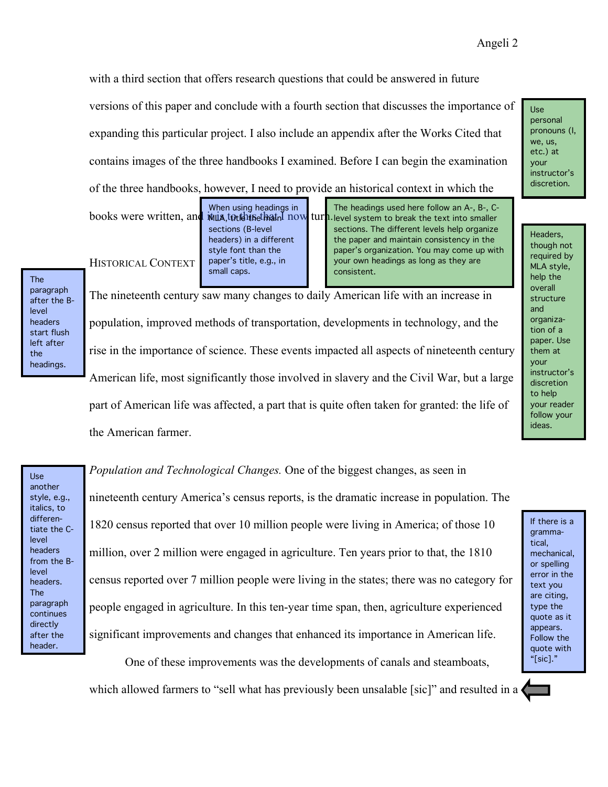with a third section that offers research questions that could be answered in future versions of this paper and conclude with a fourth section that discusses the importance of expanding this particular project. I also include an appendix after the Works Cited that contains images of the three handbooks I examined. Before I can begin the examination of the three handbooks, however, I need to provide an historical context in which the

books were written, and it is to this that I now turn When using headings in

MLA, totthe that now sections (B-level headers) in a different style font than the paper's title, e.g., in small caps.

The headings used here follow an A-, B-, Clevel system to break the text into smaller sections. The different levels help organize the paper and maintain consistency in the paper's organization. You may come up with your own headings as long as they are consistent.

HISTORICAL CONTEXT

The paragraph after the Blevel headers start flush left after the headings.

The nineteenth century saw many changes to daily American life with an increase in population, improved methods of transportation, developments in technology, and the rise in the importance of science. These events impacted all aspects of nineteenth century American life, most significantly those involved in slavery and the Civil War, but a large part of American life was affected, a part that is quite often taken for granted: the life of the American farmer.

Use another style, e.g., italics, to differentiate the Clevel headers from the Blevel headers. The paragraph continues directly after the header.

*Population and Technological Changes.* One of the biggest changes, as seen in nineteenth century America's census reports, is the dramatic increase in population. The 1820 census reported that over 10 million people were living in America; of those 10 million, over 2 million were engaged in agriculture. Ten years prior to that, the 1810 census reported over 7 million people were living in the states; there was no category for people engaged in agriculture. In this ten-year time span, then, agriculture experienced significant improvements and changes that enhanced its importance in American life.

 One of these improvements was the developments of canals and steamboats, which allowed farmers to "sell what has previously been unsalable [sic]" and resulted in a

Headers, though not required by MLA style, help the overall structure and organization of a paper. Use them at your instructor's discretion to help your reader follow your ideas.

If there is a grammatical, mechanical, or spelling error in the text you are citing, type the quote as it appears. Follow the quote with "[sic]."

Use personal pronouns (I, we, us, etc.) at your instructor's discretion.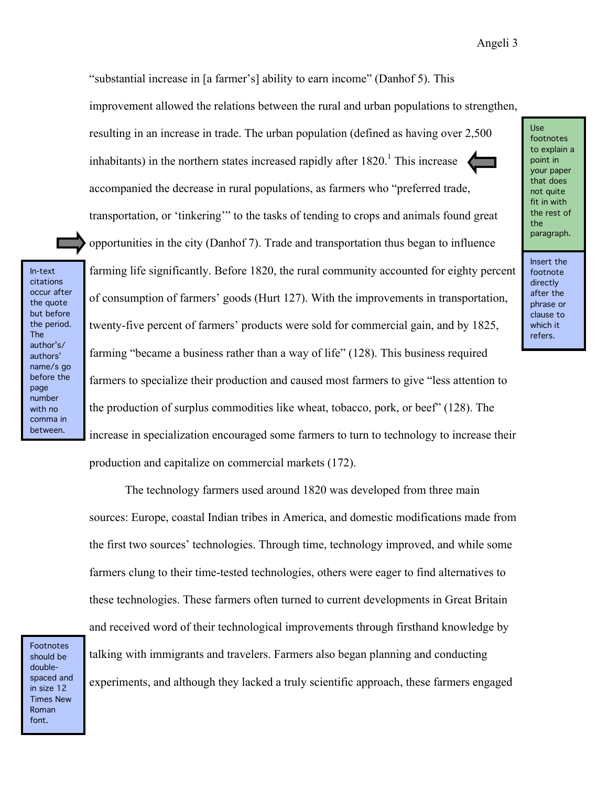"substantial increase in [a farmer's] ability to earn income" (Danhof 5). This

improvement allowed the relations between the rural and urban populations to strengthen,

resulting in an increase in trade. The urban population (defined as having over 2,500 inhabitants) in the northern states increased rapidly after  $1820<sup>1</sup>$ . This increase accompanied the decrease in rural populations, as farmers who "preferred trade,

transportation, or 'tinkering'" to the tasks of tending to crops and animals found great opportunities in the city (Danhof 7). Trade and transportation thus began to influence farming life significantly. Before 1820, the rural community accounted for eighty percent of consumption of farmers' goods (Hurt 127). With the improvements in transportation, twenty-five percent of farmers' products were sold for commercial gain, and by 1825, farming "became a business rather than a way of life" (128). This business required farmers to specialize their production and caused most farmers to give "less attention to the production of surplus commodities like wheat, tobacco, pork, or beef" (128). The increase in specialization encouraged some farmers to turn to technology to increase their

production and capitalize on commercial markets (172).

 The technology farmers used around 1820 was developed from three main sources: Europe, coastal Indian tribes in America, and domestic modifications made from the first two sources' technologies. Through time, technology improved, and while some farmers clung to their time-tested technologies, others were eager to find alternatives to these technologies. These farmers often turned to current developments in Great Britain and received word of their technological improvements through firsthand knowledge by

Footnotes should be doublespaced and in size 12 Times New Roman font.

In-text citations occur after the quote but before the period. The author's/ authors' name/s go before the page number with no comma in between.

> talking with immigrants and travelers. Farmers also began planning and conducting experiments, and although they lacked a truly scientific approach, these farmers engaged

Use footnotes to explain a point in your paper that does not quite fit in with the rest of the paragraph.

Insert the footnote directly after the phrase or clause to which it refers.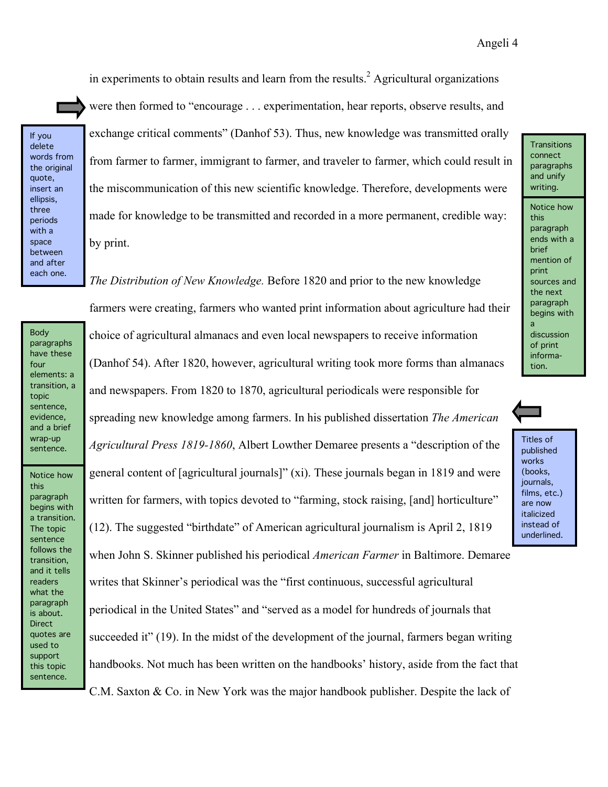in experiments to obtain results and learn from the results.<sup>2</sup> Agricultural organizations

If you delete words from the original quote, insert an ellipsis, three periods with a space between and after each one.

were then formed to "encourage . . . experimentation, hear reports, observe results, and exchange critical comments" (Danhof 53). Thus, new knowledge was transmitted orally from farmer to farmer, immigrant to farmer, and traveler to farmer, which could result in the miscommunication of this new scientific knowledge. Therefore, developments were made for knowledge to be transmitted and recorded in a more permanent, credible way: by print.

*The Distribution of New Knowledge.* Before 1820 and prior to the new knowledge

Body paragraphs have these four elements: a transition, a topic sentence, evidence, and a brief wrap-up sentence.

Notice how this paragraph begins with a transition. The topic sentence follows the transition, and it tells readers what the paragraph is about. Direct quotes are used to support this topic sentence.

farmers were creating, farmers who wanted print information about agriculture had their choice of agricultural almanacs and even local newspapers to receive information (Danhof 54). After 1820, however, agricultural writing took more forms than almanacs and newspapers. From 1820 to 1870, agricultural periodicals were responsible for spreading new knowledge among farmers. In his published dissertation *The American Agricultural Press 1819-1860*, Albert Lowther Demaree presents a "description of the general content of [agricultural journals]" (xi). These journals began in 1819 and were written for farmers, with topics devoted to "farming, stock raising, [and] horticulture" (12). The suggested "birthdate" of American agricultural journalism is April 2, 1819

when John S. Skinner published his periodical *American Farmer* in Baltimore. Demaree writes that Skinner's periodical was the "first continuous, successful agricultural periodical in the United States" and "served as a model for hundreds of journals that succeeded it" (19). In the midst of the development of the journal, farmers began writing handbooks. Not much has been written on the handbooks' history, aside from the fact that C.M. Saxton & Co. in New York was the major handbook publisher. Despite the lack of

connect paragraphs and unify writing. Notice how this paragraph ends with a brief mention of print sources and the next paragraph begins with a discussion of print information.

**Transitions** 

Titles of published works (books, journals,

films, etc.) are now italicized instead of underlined.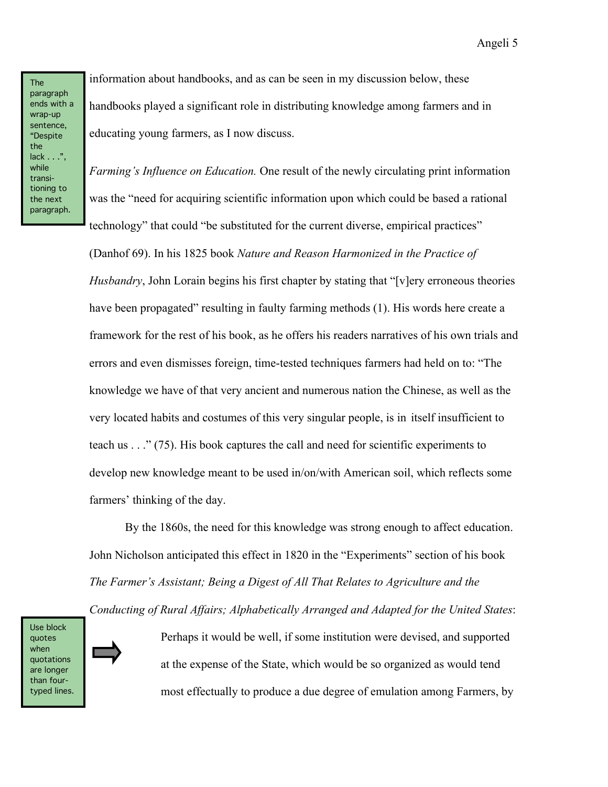information about handbooks, and as can be seen in my discussion below, these handbooks played a significant role in distributing knowledge among farmers and in educating young farmers, as I now discuss.

*Farming's Influence on Education.* One result of the newly circulating print information was the "need for acquiring scientific information upon which could be based a rational technology" that could "be substituted for the current diverse, empirical practices"

(Danhof 69). In his 1825 book *Nature and Reason Harmonized in the Practice of Husbandry*, John Lorain begins his first chapter by stating that "[v]ery erroneous theories have been propagated" resulting in faulty farming methods (1). His words here create a framework for the rest of his book, as he offers his readers narratives of his own trials and errors and even dismisses foreign, time-tested techniques farmers had held on to: "The knowledge we have of that very ancient and numerous nation the Chinese, as well as the very located habits and costumes of this very singular people, is in itself insufficient to teach us . . ." (75). His book captures the call and need for scientific experiments to develop new knowledge meant to be used in/on/with American soil, which reflects some farmers' thinking of the day.

 By the 1860s, the need for this knowledge was strong enough to affect education. John Nicholson anticipated this effect in 1820 in the "Experiments" section of his book *The Farmer's Assistant; Being a Digest of All That Relates to Agriculture and the* 

*Conducting of Rural Affairs; Alphabetically Arranged and Adapted for the United States*:

Use block quotes when quotations are longer than fourtyped lines.

 Perhaps it would be well, if some institution were devised, and supported at the expense of the State, which would be so organized as would tend most effectually to produce a due degree of emulation among Farmers, by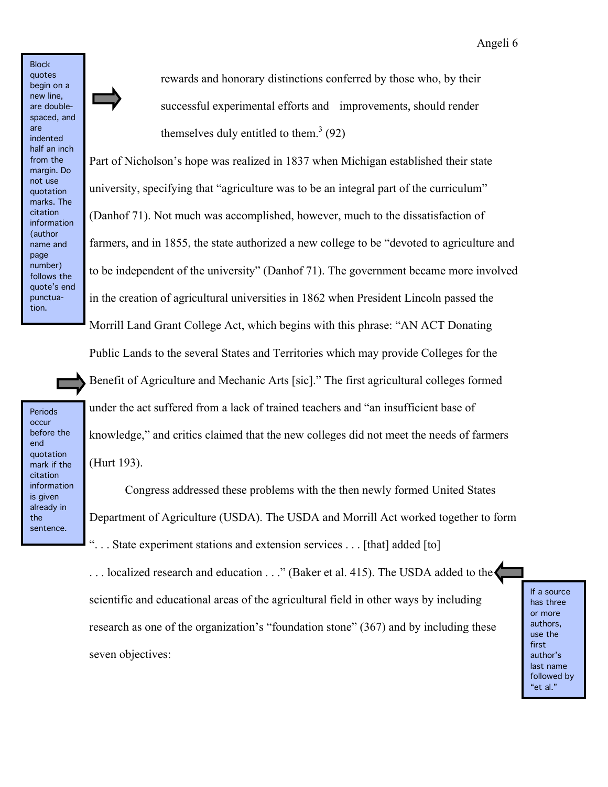quotes begin on a new line, are doublespaced, and are indented half an inch from the margin. Do not use quotation marks. The citation information (author name and page number) follows the quote's end punctuation.

**Block** 

 rewards and honorary distinctions conferred by those who, by their successful experimental efforts and improvements, should render themselves duly entitled to them.<sup>3</sup> (92)

Part of Nicholson's hope was realized in 1837 when Michigan established their state university, specifying that "agriculture was to be an integral part of the curriculum" (Danhof 71). Not much was accomplished, however, much to the dissatisfaction of farmers, and in 1855, the state authorized a new college to be "devoted to agriculture and to be independent of the university" (Danhof 71). The government became more involved in the creation of agricultural universities in 1862 when President Lincoln passed the Morrill Land Grant College Act, which begins with this phrase: "AN ACT Donating

Public Lands to the several States and Territories which may provide Colleges for the

Benefit of Agriculture and Mechanic Arts [sic]." The first agricultural colleges formed under the act suffered from a lack of trained teachers and "an insufficient base of knowledge," and critics claimed that the new colleges did not meet the needs of farmers (Hurt 193).

Periods occur before the end quotation mark if the citation information is given already in the sentence.

 Congress addressed these problems with the then newly formed United States Department of Agriculture (USDA). The USDA and Morrill Act worked together to form ". . . State experiment stations and extension services . . . [that] added [to]

... localized research and education ..." (Baker et al. 415). The USDA added to the scientific and educational areas of the agricultural field in other ways by including research as one of the organization's "foundation stone" (367) and by including these seven objectives:

If a source has three or more authors, use the first author's last name followed by "et al."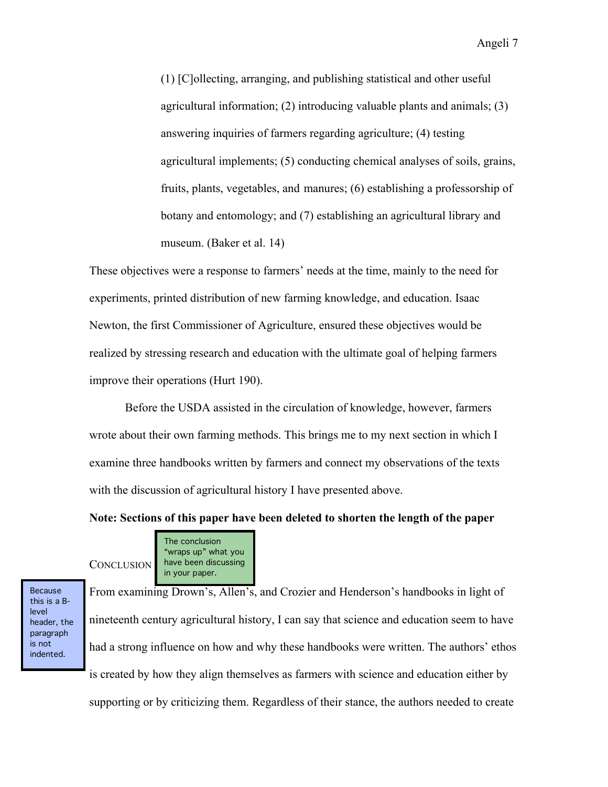(1) [C]ollecting, arranging, and publishing statistical and other useful agricultural information; (2) introducing valuable plants and animals; (3) answering inquiries of farmers regarding agriculture; (4) testing agricultural implements; (5) conducting chemical analyses of soils, grains, fruits, plants, vegetables, and manures; (6) establishing a professorship of botany and entomology; and (7) establishing an agricultural library and museum. (Baker et al. 14)

These objectives were a response to farmers' needs at the time, mainly to the need for experiments, printed distribution of new farming knowledge, and education. Isaac Newton, the first Commissioner of Agriculture, ensured these objectives would be realized by stressing research and education with the ultimate goal of helping farmers improve their operations (Hurt 190).

 Before the USDA assisted in the circulation of knowledge, however, farmers wrote about their own farming methods. This brings me to my next section in which I examine three handbooks written by farmers and connect my observations of the texts with the discussion of agricultural history I have presented above.

**Note: Sections of this paper have been deleted to shorten the length of the paper** 

**CONCLUSION** The conclusion "wraps up" what you have been discussing in your paper.

Because this is a Blevel header, the paragraph is not indented.

From examining Drown's, Allen's, and Crozier and Henderson's handbooks in light of nineteenth century agricultural history, I can say that science and education seem to have had a strong influence on how and why these handbooks were written. The authors' ethos is created by how they align themselves as farmers with science and education either by supporting or by criticizing them. Regardless of their stance, the authors needed to create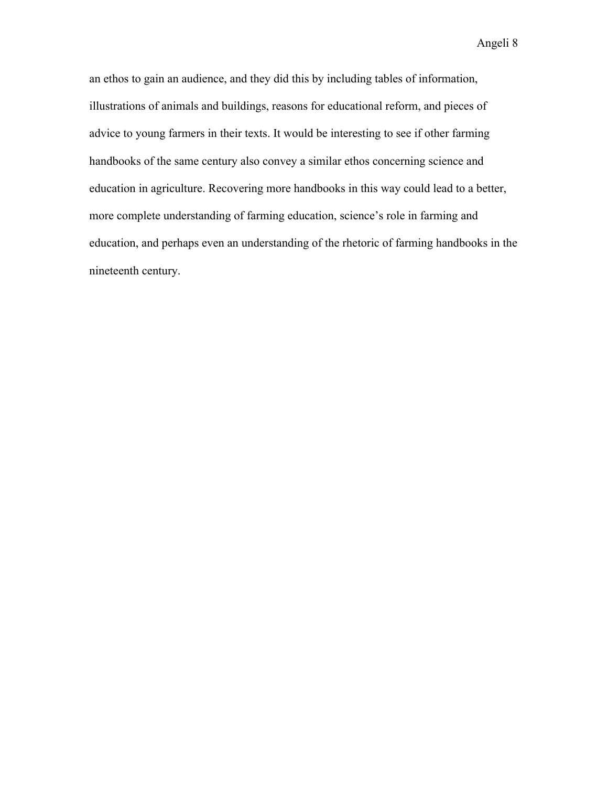an ethos to gain an audience, and they did this by including tables of information, illustrations of animals and buildings, reasons for educational reform, and pieces of advice to young farmers in their texts. It would be interesting to see if other farming handbooks of the same century also convey a similar ethos concerning science and education in agriculture. Recovering more handbooks in this way could lead to a better, more complete understanding of farming education, science's role in farming and education, and perhaps even an understanding of the rhetoric of farming handbooks in the nineteenth century.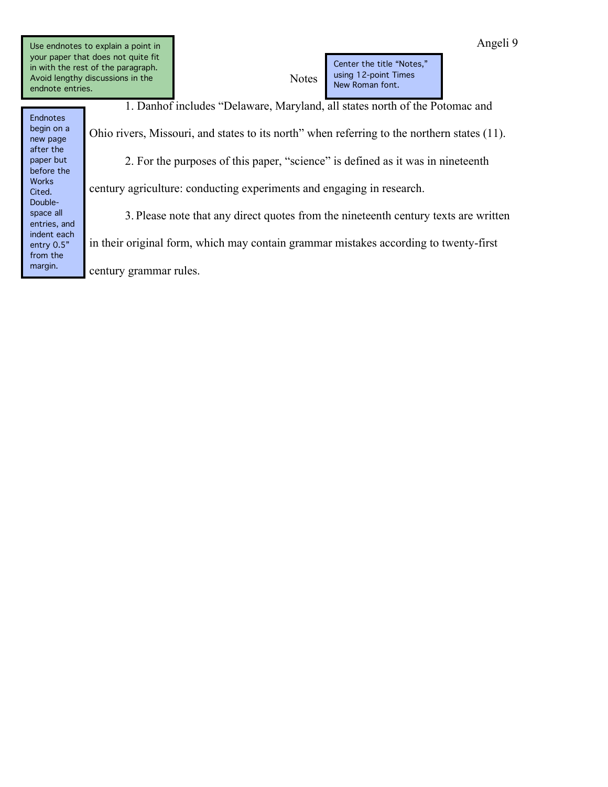Use endnotes to explain a point in your paper that does not quite fit in with the rest of the paragraph. Avoid lengthy discussions in the endnote entries.

Endnotes begin on a new page after the paper but before the Works Cited. Doublespace all entries, and indent each entry 0.5" from the margin.

Notes Center the title "Notes," using 12-point Times New Roman font.

 1. Danhof includes "Delaware, Maryland, all states north of the Potomac and Ohio rivers, Missouri, and states to its north" when referring to the northern states (11). 2. For the purposes of this paper, "science" is defined as it was in nineteenth century agriculture: conducting experiments and engaging in research. 3. Please note that any direct quotes from the nineteenth century texts are written in their original form, which may contain grammar mistakes according to twenty-first

century grammar rules.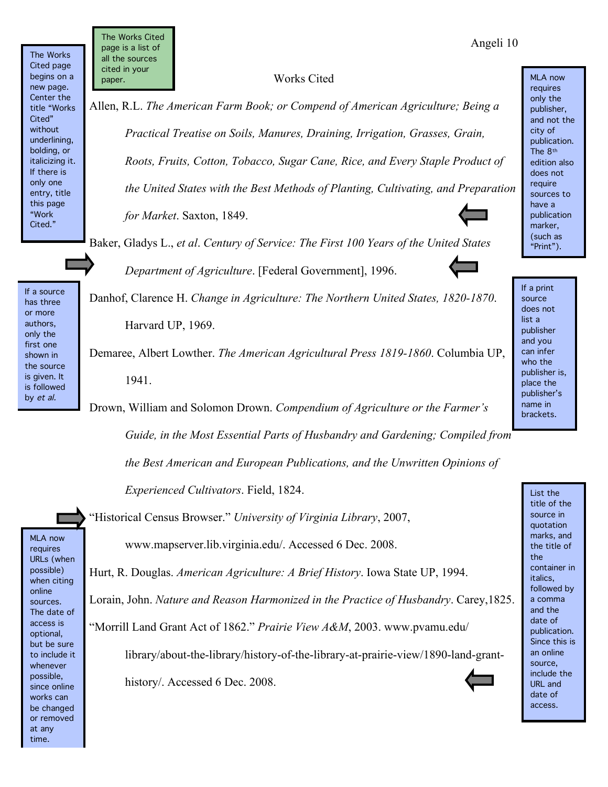The Works Cited page begins on a new page. Center the title "Works Cited" without underlining, bolding, or italicizing it. If there is only one entry, title this page "Work Cited."

If a source has three or more authors, only the first one shown in the source is given. It is followed by et al.

The Works Cited page is a list of all the sources cited in your paper.

## Works Cited

Allen, R.L. *The American Farm Book; or Compend of American Agriculture; Being a Practical Treatise on Soils, Manures, Draining, Irrigation, Grasses, Grain, Roots, Fruits, Cotton, Tobacco, Sugar Cane, Rice, and Every Staple Product of the United States with the Best Methods of Planting, Cultivating, and Preparation for Market*. Saxton, 1849.

Baker, Gladys L., *et al*. *Century of Service: The First 100 Years of the United States Department of Agriculture*. [Federal Government], 1996.

Danhof, Clarence H. *Change in Agriculture: The Northern United States, 1820-1870*. Harvard UP, 1969.

Demaree, Albert Lowther. *The American Agricultural Press 1819-1860*. Columbia UP, 1941.

Drown, William and Solomon Drown. *Compendium of Agriculture or the Farmer's Guide, in the Most Essential Parts of Husbandry and Gardening; Compiled from* 

 *the Best American and European Publications, and the Unwritten Opinions of Experienced Cultivators*. Field, 1824.

"Historical Census Browser." *University of Virginia Library*, 2007, www.mapserver.lib.virginia.edu/. Accessed 6 Dec. 2008.

Hurt, R. Douglas. *American Agriculture: A Brief History*. Iowa State UP, 1994. Lorain, John. *Nature and Reason Harmonized in the Practice of Husbandry*. Carey,1825. "Morrill Land Grant Act of 1862." *Prairie View A&M*, 2003. www.pvamu.edu/

library/about-the-library/history-of-the-library-at-prairie-view/1890-land-granthistory/. Accessed 6 Dec. 2008.

does not list a publisher and you can infer who the publisher is, place the publisher's name in brackets.

If a print source

> List the title of the source in quotation marks, and the title of the container in italics, followed by a comma and the date of publication. Since this is an online source, include the URL and date of access.



MLA now requires only the publisher,

and not the city of publication. The 8th edition also does not require sources to have a publication marker, (such as "Print").

Angeli 10

MLA now requires URLs (when possible) when citing online sources. The date of access is optional, but be sure to include it whenever possible, since online works can be changed or removed at any time.